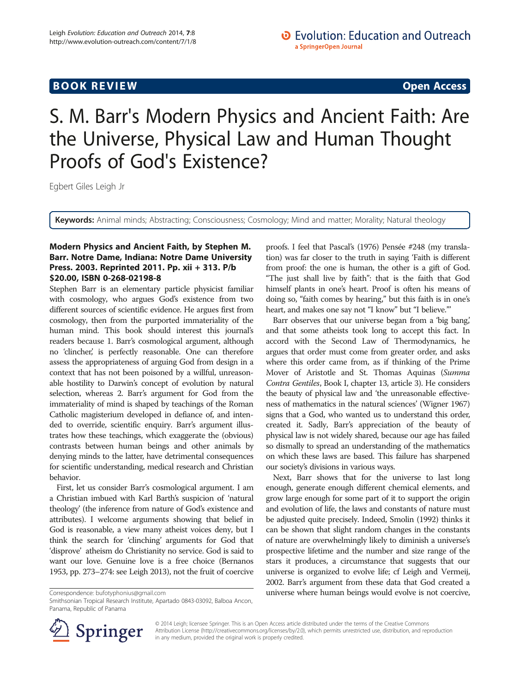# **BOOK REVIEW CONTROL** BOOK REVIEW

# S. M. Barr's Modern Physics and Ancient Faith: Are the Universe, Physical Law and Human Thought Proofs of God's Existence?

Egbert Giles Leigh Jr

Keywords: Animal minds; Abstracting; Consciousness; Cosmology; Mind and matter; Morality; Natural theology

## Modern Physics and Ancient Faith, by Stephen M. Barr. Notre Dame, Indiana: Notre Dame University Press. 2003. Reprinted 2011. Pp. xii + 313. P/b \$20.00, ISBN 0-268-02198-8

Stephen Barr is an elementary particle physicist familiar with cosmology, who argues God's existence from two different sources of scientific evidence. He argues first from cosmology, then from the purported immateriality of the human mind. This book should interest this journal's readers because 1. Barr's cosmological argument, although no 'clincher,' is perfectly reasonable. One can therefore assess the appropriateness of arguing God from design in a context that has not been poisoned by a willful, unreasonable hostility to Darwin's concept of evolution by natural selection, whereas 2. Barr's argument for God from the immateriality of mind is shaped by teachings of the Roman Catholic magisterium developed in defiance of, and intended to override, scientific enquiry. Barr's argument illustrates how these teachings, which exaggerate the (obvious) contrasts between human beings and other animals by denying minds to the latter, have detrimental consequences for scientific understanding, medical research and Christian behavior.

First, let us consider Barr's cosmological argument. I am a Christian imbued with Karl Barth's suspicion of 'natural theology' (the inference from nature of God's existence and attributes). I welcome arguments showing that belief in God is reasonable, a view many atheist voices deny, but I think the search for 'clinching' arguments for God that 'disprove' atheism do Christianity no service. God is said to want our love. Genuine love is a free choice (Bernanos [1953,](#page-4-0) pp. 273–274: see Leigh [2013\)](#page-4-0), not the fruit of coercive

Smithsonian Tropical Research Institute, Apartado 0843-03092, Balboa Ancon, Panama, Republic of Panama

proofs. I feel that Pascal's [\(1976](#page-4-0)) Pensée #248 (my translation) was far closer to the truth in saying 'Faith is different from proof: the one is human, the other is a gift of God. "The just shall live by faith": that is the faith that God himself plants in one's heart. Proof is often his means of doing so, "faith comes by hearing," but this faith is in one's heart, and makes one say not "I know" but "I believe."'

Barr observes that our universe began from a 'big bang,' and that some atheists took long to accept this fact. In accord with the Second Law of Thermodynamics, he argues that order must come from greater order, and asks where this order came from, as if thinking of the Prime Mover of Aristotle and St. Thomas Aquinas (Summa Contra Gentiles, Book I, chapter 13, article 3). He considers the beauty of physical law and 'the unreasonable effectiveness of mathematics in the natural sciences' (Wigner [1967](#page-4-0)) signs that a God, who wanted us to understand this order, created it. Sadly, Barr's appreciation of the beauty of physical law is not widely shared, because our age has failed so dismally to spread an understanding of the mathematics on which these laws are based. This failure has sharpened our society's divisions in various ways.

Next, Barr shows that for the universe to last long enough, generate enough different chemical elements, and grow large enough for some part of it to support the origin and evolution of life, the laws and constants of nature must be adjusted quite precisely. Indeed, Smolin ([1992](#page-4-0)) thinks it can be shown that slight random changes in the constants of nature are overwhelmingly likely to diminish a universe's prospective lifetime and the number and size range of the stars it produces, a circumstance that suggests that our universe is organized to evolve life; cf Leigh and Vermeij, [2002.](#page-4-0) Barr's argument from these data that God created a Correspondence: [bufotyphonius@gmail.com](mailto:bufotyphonius@gmail.com) **universe where human beings would evolve is not coercive,** 



© 2014 Leigh; licensee Springer. This is an Open Access article distributed under the terms of the Creative Commons Attribution License [\(http://creativecommons.org/licenses/by/2.0\)](http://creativecommons.org/licenses/by/2.0), which permits unrestricted use, distribution, and reproduction in any medium, provided the original work is properly credited.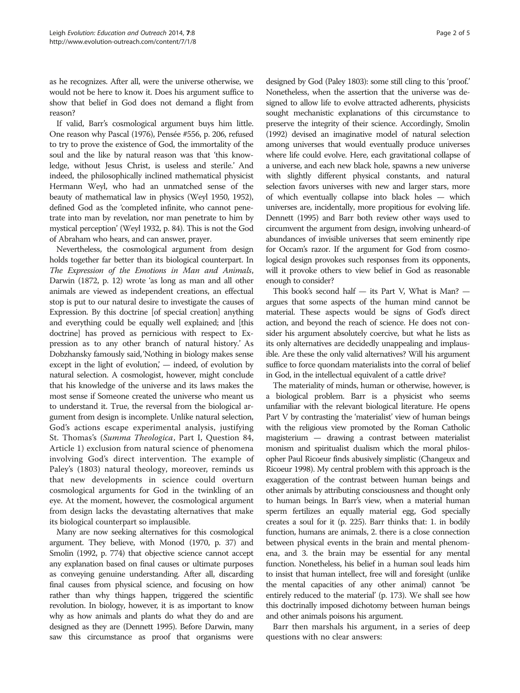as he recognizes. After all, were the universe otherwise, we would not be here to know it. Does his argument suffice to show that belief in God does not demand a flight from reason?

If valid, Barr's cosmological argument buys him little. One reason why Pascal ([1976](#page-4-0)), Pensée #556, p. 206, refused to try to prove the existence of God, the immortality of the soul and the like by natural reason was that 'this knowledge, without Jesus Christ, is useless and sterile.' And indeed, the philosophically inclined mathematical physicist Hermann Weyl, who had an unmatched sense of the beauty of mathematical law in physics (Weyl [1950, 1952](#page-4-0)), defined God as the 'completed infinite, who cannot penetrate into man by revelation, nor man penetrate to him by mystical perception' (Weyl [1932](#page-4-0), p. 84). This is not the God of Abraham who hears, and can answer, prayer.

Nevertheless, the cosmological argument from design holds together far better than its biological counterpart. In The Expression of the Emotions in Man and Animals, Darwin ([1872](#page-4-0), p. 12) wrote 'as long as man and all other animals are viewed as independent creations, an effectual stop is put to our natural desire to investigate the causes of Expression. By this doctrine [of special creation] anything and everything could be equally well explained; and [this doctrine] has proved as pernicious with respect to Expression as to any other branch of natural history.' As Dobzhansky famously said, 'Nothing in biology makes sense except in the light of evolution,  $\dot{\phantom{a}}$  indeed, of evolution by natural selection. A cosmologist, however, might conclude that his knowledge of the universe and its laws makes the most sense if Someone created the universe who meant us to understand it. True, the reversal from the biological argument from design is incomplete. Unlike natural selection, God's actions escape experimental analysis, justifying St. Thomas's (Summa Theologica, Part I, Question 84, Article 1) exclusion from natural science of phenomena involving God's direct intervention. The example of Paley's ([1803\)](#page-4-0) natural theology, moreover, reminds us that new developments in science could overturn cosmological arguments for God in the twinkling of an eye. At the moment, however, the cosmological argument from design lacks the devastating alternatives that make its biological counterpart so implausible.

Many are now seeking alternatives for this cosmological argument. They believe, with Monod ([1970](#page-4-0), p. 37) and Smolin [\(1992,](#page-4-0) p. 774) that objective science cannot accept any explanation based on final causes or ultimate purposes as conveying genuine understanding. After all, discarding final causes from physical science, and focusing on how rather than why things happen, triggered the scientific revolution. In biology, however, it is as important to know why as how animals and plants do what they do and are designed as they are (Dennett [1995\)](#page-4-0). Before Darwin, many saw this circumstance as proof that organisms were

designed by God (Paley [1803\)](#page-4-0): some still cling to this 'proof.' Nonetheless, when the assertion that the universe was designed to allow life to evolve attracted adherents, physicists sought mechanistic explanations of this circumstance to preserve the integrity of their science. Accordingly, Smolin ([1992](#page-4-0)) devised an imaginative model of natural selection among universes that would eventually produce universes where life could evolve. Here, each gravitational collapse of a universe, and each new black hole, spawns a new universe with slightly different physical constants, and natural selection favors universes with new and larger stars, more of which eventually collapse into black holes — which universes are, incidentally, more propitious for evolving life. Dennett [\(1995](#page-4-0)) and Barr both review other ways used to circumvent the argument from design, involving unheard-of abundances of invisible universes that seem eminently ripe for Occam's razor. If the argument for God from cosmological design provokes such responses from its opponents, will it provoke others to view belief in God as reasonable enough to consider?

This book's second half — its Part V, What is Man? argues that some aspects of the human mind cannot be material. These aspects would be signs of God's direct action, and beyond the reach of science. He does not consider his argument absolutely coercive, but what he lists as its only alternatives are decidedly unappealing and implausible. Are these the only valid alternatives? Will his argument suffice to force quondam materialists into the corral of belief in God, in the intellectual equivalent of a cattle drive?

The materiality of minds, human or otherwise, however, is a biological problem. Barr is a physicist who seems unfamiliar with the relevant biological literature. He opens Part V by contrasting the 'materialist' view of human beings with the religious view promoted by the Roman Catholic magisterium — drawing a contrast between materialist monism and spiritualist dualism which the moral philosopher Paul Ricoeur finds abusively simplistic (Changeux and Ricoeur [1998\)](#page-4-0). My central problem with this approach is the exaggeration of the contrast between human beings and other animals by attributing consciousness and thought only to human beings. In Barr's view, when a material human sperm fertilizes an equally material egg, God specially creates a soul for it (p. 225). Barr thinks that: 1. in bodily function, humans are animals, 2. there is a close connection between physical events in the brain and mental phenomena, and 3. the brain may be essential for any mental function. Nonetheless, his belief in a human soul leads him to insist that human intellect, free will and foresight (unlike the mental capacities of any other animal) cannot 'be entirely reduced to the material' (p. 173). We shall see how this doctrinally imposed dichotomy between human beings and other animals poisons his argument.

Barr then marshals his argument, in a series of deep questions with no clear answers: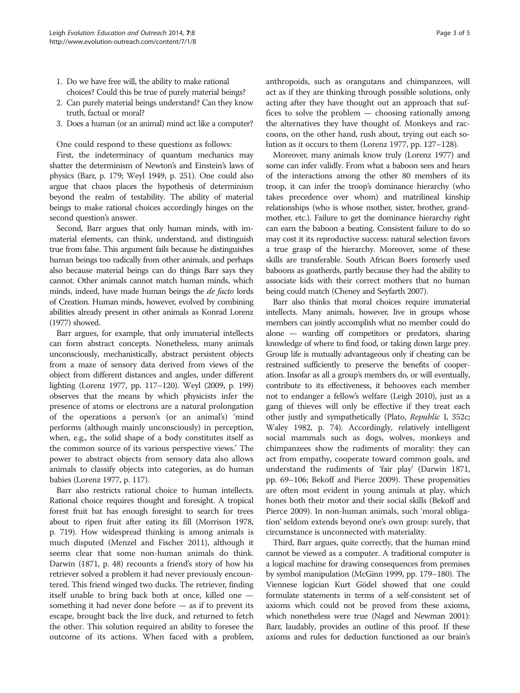- 1. Do we have free will, the ability to make rational choices? Could this be true of purely material beings?
- 2. Can purely material beings understand? Can they know truth, factual or moral?
- 3. Does a human (or an animal) mind act like a computer?

One could respond to these questions as follows:

First, the indeterminacy of quantum mechanics may shatter the determinism of Newton's and Einstein's laws of physics (Barr, p. 179; Weyl [1949,](#page-4-0) p. 251). One could also argue that chaos places the hypothesis of determinism beyond the realm of testability. The ability of material beings to make rational choices accordingly hinges on the second question's answer.

Second, Barr argues that only human minds, with immaterial elements, can think, understand, and distinguish true from false. This argument fails because he distinguishes human beings too radically from other animals, and perhaps also because material beings can do things Barr says they cannot. Other animals cannot match human minds, which minds, indeed, have made human beings the *de facto* lords of Creation. Human minds, however, evolved by combining abilities already present in other animals as Konrad Lorenz ([1977](#page-4-0)) showed.

Barr argues, for example, that only immaterial intellects can form abstract concepts. Nonetheless, many animals unconsciously, mechanistically, abstract persistent objects from a maze of sensory data derived from views of the object from different distances and angles, under different lighting (Lorenz [1977,](#page-4-0) pp. 117–120). Weyl [\(2009,](#page-4-0) p. 199) observes that the means by which physicists infer the presence of atoms or electrons are a natural prolongation of the operations a person's (or an animal's) 'mind performs (although mainly unconsciously) in perception, when, e.g., the solid shape of a body constitutes itself as the common source of its various perspective views.' The power to abstract objects from sensory data also allows animals to classify objects into categories, as do human babies (Lorenz [1977](#page-4-0), p. 117).

Barr also restricts rational choice to human intellects. Rational choice requires thought and foresight. A tropical forest fruit bat has enough foresight to search for trees about to ripen fruit after eating its fill (Morrison [1978](#page-4-0), p. 719). How widespread thinking is among animals is much disputed (Menzel and Fischer [2011](#page-4-0)), although it seems clear that some non-human animals do think. Darwin [\(1871](#page-4-0), p. 48) recounts a friend's story of how his retriever solved a problem it had never previously encountered. This friend winged two ducks. The retriever, finding itself unable to bring back both at once, killed one something it had never done before  $-$  as if to prevent its escape, brought back the live duck, and returned to fetch the other. This solution required an ability to foresee the outcome of its actions. When faced with a problem,

anthropoids, such as orangutans and chimpanzees, will act as if they are thinking through possible solutions, only acting after they have thought out an approach that suffices to solve the problem — choosing rationally among the alternatives they have thought of. Monkeys and raccoons, on the other hand, rush about, trying out each solution as it occurs to them (Lorenz [1977,](#page-4-0) pp. 127–128).

Moreover, many animals know truly (Lorenz [1977\)](#page-4-0) and some can infer validly. From what a baboon sees and hears of the interactions among the other 80 members of its troop, it can infer the troop's dominance hierarchy (who takes precedence over whom) and matrilineal kinship relationships (who is whose mother, sister, brother, grandmother, etc.). Failure to get the dominance hierarchy right can earn the baboon a beating. Consistent failure to do so may cost it its reproductive success: natural selection favors a true grasp of the hierarchy. Moreover, some of these skills are transferable. South African Boers formerly used baboons as goatherds, partly because they had the ability to associate kids with their correct mothers that no human being could match (Cheney and Seyfarth [2007](#page-4-0)).

Barr also thinks that moral choices require immaterial intellects. Many animals, however, live in groups whose members can jointly accomplish what no member could do alone — warding off competitors or predators, sharing knowledge of where to find food, or taking down large prey. Group life is mutually advantageous only if cheating can be restrained sufficiently to preserve the benefits of cooperation. Insofar as all a group's members do, or will eventually, contribute to its effectiveness, it behooves each member not to endanger a fellow's welfare (Leigh [2010](#page-4-0)), just as a gang of thieves will only be effective if they treat each other justly and sympathetically (Plato, Republic I, 352c; Waley [1982,](#page-4-0) p. 74). Accordingly, relatively intelligent social mammals such as dogs, wolves, monkeys and chimpanzees show the rudiments of morality: they can act from empathy, cooperate toward common goals, and understand the rudiments of 'fair play' (Darwin [1871](#page-4-0), pp. 69–106; Bekoff and Pierce [2009](#page-4-0)). These propensities are often most evident in young animals at play, which hones both their motor and their social skills (Bekoff and Pierce [2009](#page-4-0)). In non-human animals, such 'moral obligation' seldom extends beyond one's own group: surely, that circumstance is unconnected with materiality.

Third, Barr argues, quite correctly, that the human mind cannot be viewed as a computer. A traditional computer is a logical machine for drawing consequences from premises by symbol manipulation (McGinn [1999,](#page-4-0) pp. 179–180). The Viennese logician Kurt Gödel showed that one could formulate statements in terms of a self-consistent set of axioms which could not be proved from these axioms, which nonetheless were true (Nagel and Newman [2001](#page-4-0)): Barr, laudably, provides an outline of this proof. If these axioms and rules for deduction functioned as our brain's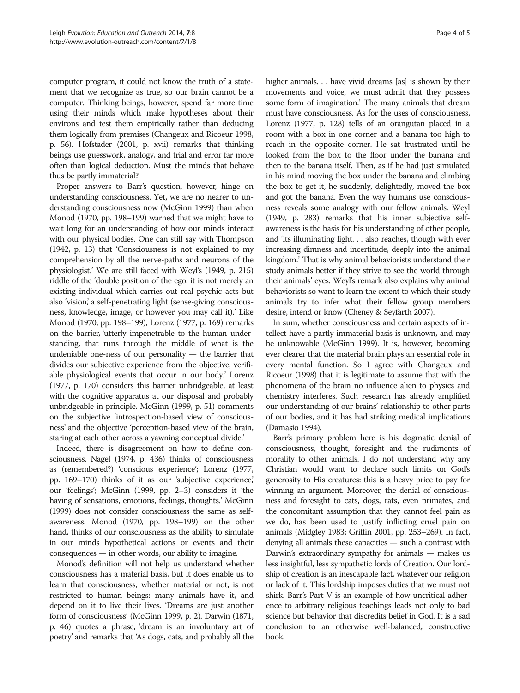computer program, it could not know the truth of a statement that we recognize as true, so our brain cannot be a computer. Thinking beings, however, spend far more time using their minds which make hypotheses about their environs and test them empirically rather than deducing them logically from premises (Changeux and Ricoeur [1998](#page-4-0), p. 56). Hofstader [\(2001,](#page-4-0) p. xvii) remarks that thinking beings use guesswork, analogy, and trial and error far more often than logical deduction. Must the minds that behave thus be partly immaterial?

Proper answers to Barr's question, however, hinge on understanding consciousness. Yet, we are no nearer to understanding consciousness now (McGinn [1999](#page-4-0)) than when Monod ([1970,](#page-4-0) pp. 198–199) warned that we might have to wait long for an understanding of how our minds interact with our physical bodies. One can still say with Thompson ([1942,](#page-4-0) p. 13) that 'Consciousness is not explained to my comprehension by all the nerve-paths and neurons of the physiologist.' We are still faced with Weyl's [\(1949,](#page-4-0) p. 215) riddle of the 'double position of the ego: it is not merely an existing individual which carries out real psychic acts but also 'vision,' a self-penetrating light (sense-giving consciousness, knowledge, image, or however you may call it).' Like Monod ([1970](#page-4-0), pp. 198–199), Lorenz [\(1977,](#page-4-0) p. 169) remarks on the barrier, 'utterly impenetrable to the human understanding, that runs through the middle of what is the undeniable one-ness of our personality — the barrier that divides our subjective experience from the objective, verifiable physiological events that occur in our body.' Lorenz ([1977,](#page-4-0) p. 170) considers this barrier unbridgeable, at least with the cognitive apparatus at our disposal and probably unbridgeable in principle. McGinn ([1999](#page-4-0), p. 51) comments on the subjective 'introspection-based view of consciousness' and the objective 'perception-based view of the brain, staring at each other across a yawning conceptual divide.'

Indeed, there is disagreement on how to define consciousness. Nagel [\(1974](#page-4-0), p. 436) thinks of consciousness as (remembered?) 'conscious experience'; Lorenz ([1977](#page-4-0), pp. 169–170) thinks of it as our 'subjective experience,' our 'feelings'; McGinn ([1999,](#page-4-0) pp. 2–3) considers it 'the having of sensations, emotions, feelings, thoughts.' McGinn ([1999\)](#page-4-0) does not consider consciousness the same as selfawareness. Monod ([1970](#page-4-0), pp. 198–199) on the other hand, thinks of our consciousness as the ability to simulate in our minds hypothetical actions or events and their consequences — in other words, our ability to imagine.

Monod's definition will not help us understand whether consciousness has a material basis, but it does enable us to learn that consciousness, whether material or not, is not restricted to human beings: many animals have it, and depend on it to live their lives. 'Dreams are just another form of consciousness' (McGinn [1999,](#page-4-0) p. 2). Darwin ([1871](#page-4-0), p. 46) quotes a phrase, 'dream is an involuntary art of poetry' and remarks that 'As dogs, cats, and probably all the

higher animals. . . have vivid dreams [as] is shown by their movements and voice, we must admit that they possess some form of imagination.' The many animals that dream must have consciousness. As for the uses of consciousness, Lorenz [\(1977,](#page-4-0) p. 128) tells of an orangutan placed in a room with a box in one corner and a banana too high to reach in the opposite corner. He sat frustrated until he looked from the box to the floor under the banana and then to the banana itself. Then, as if he had just simulated in his mind moving the box under the banana and climbing the box to get it, he suddenly, delightedly, moved the box and got the banana. Even the way humans use consciousness reveals some analogy with our fellow animals. Weyl ([1949,](#page-4-0) p. 283) remarks that his inner subjective selfawareness is the basis for his understanding of other people, and 'its illuminating light. . . also reaches, though with ever increasing dimness and incertitude, deeply into the animal kingdom.' That is why animal behaviorists understand their study animals better if they strive to see the world through their animals' eyes. Weyl's remark also explains why animal behaviorists so want to learn the extent to which their study animals try to infer what their fellow group members desire, intend or know (Cheney & Seyfarth [2007](#page-4-0)).

In sum, whether consciousness and certain aspects of intellect have a partly immaterial basis is unknown, and may be unknowable (McGinn [1999](#page-4-0)). It is, however, becoming ever clearer that the material brain plays an essential role in every mental function. So I agree with Changeux and Ricoeur [\(1998](#page-4-0)) that it is legitimate to assume that with the phenomena of the brain no influence alien to physics and chemistry interferes. Such research has already amplified our understanding of our brains' relationship to other parts of our bodies, and it has had striking medical implications (Damasio [1994\)](#page-4-0).

Barr's primary problem here is his dogmatic denial of consciousness, thought, foresight and the rudiments of morality to other animals. I do not understand why any Christian would want to declare such limits on God's generosity to His creatures: this is a heavy price to pay for winning an argument. Moreover, the denial of consciousness and foresight to cats, dogs, rats, even primates, and the concomitant assumption that they cannot feel pain as we do, has been used to justify inflicting cruel pain on animals (Midgley [1983;](#page-4-0) Griffin [2001,](#page-4-0) pp. 253–269). In fact, denying all animals these capacities — such a contrast with Darwin's extraordinary sympathy for animals — makes us less insightful, less sympathetic lords of Creation. Our lordship of creation is an inescapable fact, whatever our religion or lack of it. This lordship imposes duties that we must not shirk. Barr's Part V is an example of how uncritical adherence to arbitrary religious teachings leads not only to bad science but behavior that discredits belief in God. It is a sad conclusion to an otherwise well-balanced, constructive book.